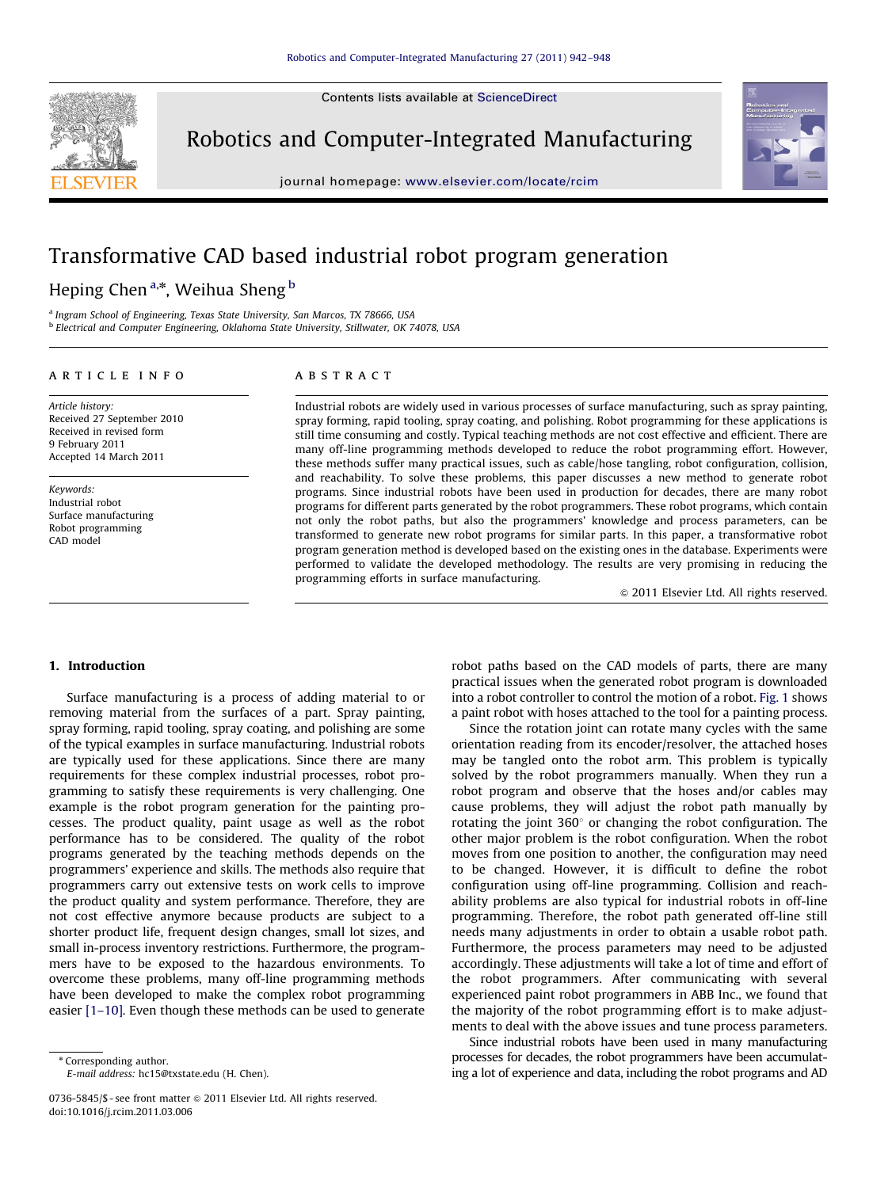Contents lists available at ScienceDirect



Robotics and Computer-Integrated Manufacturing

journal homepage: <www.elsevier.com/locate/rcim>



# Transformative CAD based industrial robot program generation

Heping Chen <sup>a,\*</sup>, Weihua Sheng <sup>b</sup>

<sup>a</sup> Ingram School of Engineering, Texas State University, San Marcos, TX 78666, USA <sup>b</sup> Electrical and Computer Engineering, Oklahoma State University, Stillwater, OK 74078, USA

#### article info

Article history: Received 27 September 2010 Received in revised form 9 February 2011 Accepted 14 March 2011

Keywords: Industrial robot Surface manufacturing Robot programming CAD model

## ABSTRACT

Industrial robots are widely used in various processes of surface manufacturing, such as spray painting, spray forming, rapid tooling, spray coating, and polishing. Robot programming for these applications is still time consuming and costly. Typical teaching methods are not cost effective and efficient. There are many off-line programming methods developed to reduce the robot programming effort. However, these methods suffer many practical issues, such as cable/hose tangling, robot configuration, collision, and reachability. To solve these problems, this paper discusses a new method to generate robot programs. Since industrial robots have been used in production for decades, there are many robot programs for different parts generated by the robot programmers. These robot programs, which contain not only the robot paths, but also the programmers' knowledge and process parameters, can be transformed to generate new robot programs for similar parts. In this paper, a transformative robot program generation method is developed based on the existing ones in the database. Experiments were performed to validate the developed methodology. The results are very promising in reducing the programming efforts in surface manufacturing.

 $\odot$  2011 Elsevier Ltd. All rights reserved.

# 1. Introduction

Surface manufacturing is a process of adding material to or removing material from the surfaces of a part. Spray painting, spray forming, rapid tooling, spray coating, and polishing are some of the typical examples in surface manufacturing. Industrial robots are typically used for these applications. Since there are many requirements for these complex industrial processes, robot programming to satisfy these requirements is very challenging. One example is the robot program generation for the painting processes. The product quality, paint usage as well as the robot performance has to be considered. The quality of the robot programs generated by the teaching methods depends on the programmers' experience and skills. The methods also require that programmers carry out extensive tests on work cells to improve the product quality and system performance. Therefore, they are not cost effective anymore because products are subject to a shorter product life, frequent design changes, small lot sizes, and small in-process inventory restrictions. Furthermore, the programmers have to be exposed to the hazardous environments. To overcome these problems, many off-line programming methods have been developed to make the complex robot programming easier [\[1–10\].](#page--1-0) Even though these methods can be used to generate robot paths based on the CAD models of parts, there are many practical issues when the generated robot program is downloaded into a robot controller to control the motion of a robot. [Fig. 1](#page-1-0) shows a paint robot with hoses attached to the tool for a painting process.

Since the rotation joint can rotate many cycles with the same orientation reading from its encoder/resolver, the attached hoses may be tangled onto the robot arm. This problem is typically solved by the robot programmers manually. When they run a robot program and observe that the hoses and/or cables may cause problems, they will adjust the robot path manually by rotating the joint  $360^\circ$  or changing the robot configuration. The other major problem is the robot configuration. When the robot moves from one position to another, the configuration may need to be changed. However, it is difficult to define the robot configuration using off-line programming. Collision and reachability problems are also typical for industrial robots in off-line programming. Therefore, the robot path generated off-line still needs many adjustments in order to obtain a usable robot path. Furthermore, the process parameters may need to be adjusted accordingly. These adjustments will take a lot of time and effort of the robot programmers. After communicating with several experienced paint robot programmers in ABB Inc., we found that the majority of the robot programming effort is to make adjustments to deal with the above issues and tune process parameters.

Since industrial robots have been used in many manufacturing processes for decades, the robot programmers have been accumulating a lot of experience and data, including the robot programs and AD

<sup>\*</sup> Corresponding author.

E-mail address: [hc15@txstate.edu \(H. Chen\)](mailto:hc15@txstate.edu).

<sup>0736-5845/\$ -</sup> see front matter  $\circ$  2011 Elsevier Ltd. All rights reserved. doi:[10.1016/j.rcim.2011.03.006](dx.doi.org/10.1016/j.rcim.2011.03.006)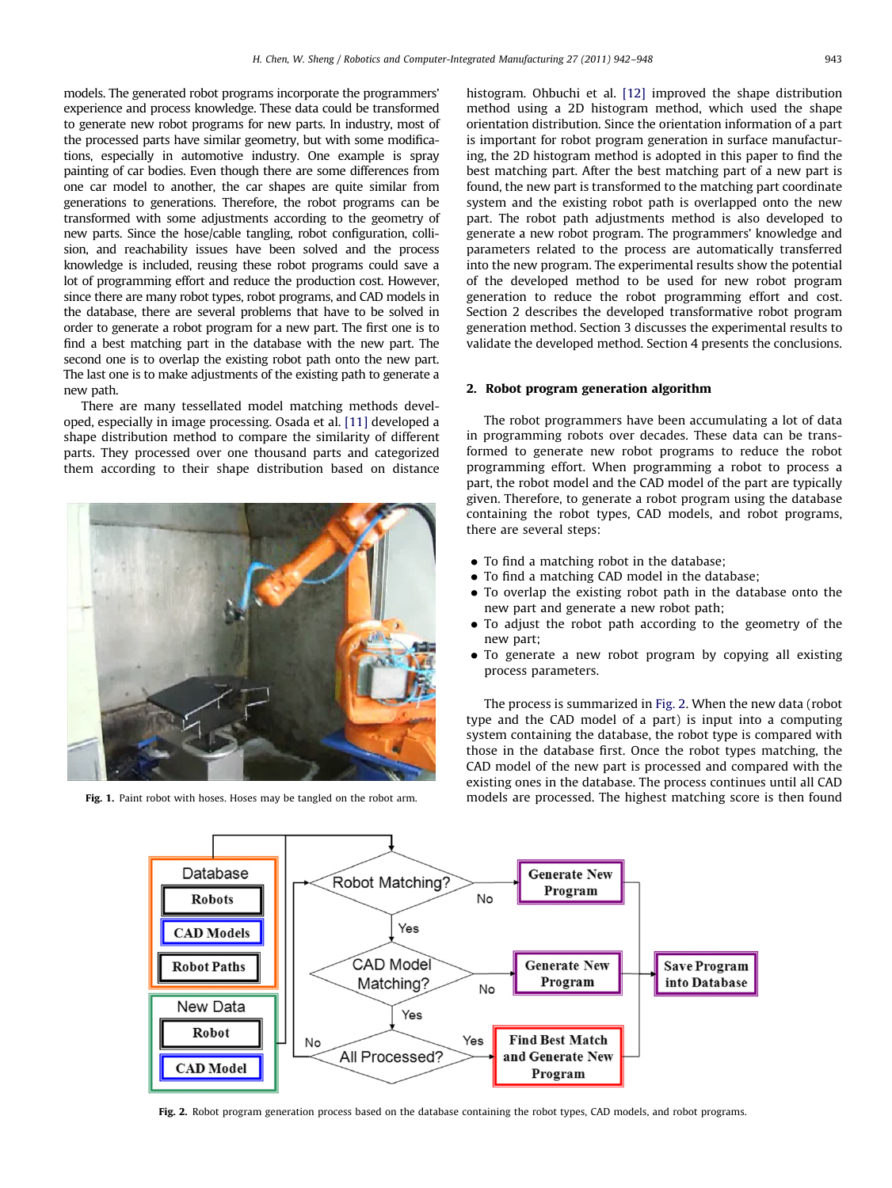<span id="page-1-0"></span>models. The generated robot programs incorporate the programmers' experience and process knowledge. These data could be transformed to generate new robot programs for new parts. In industry, most of the processed parts have similar geometry, but with some modifications, especially in automotive industry. One example is spray painting of car bodies. Even though there are some differences from one car model to another, the car shapes are quite similar from generations to generations. Therefore, the robot programs can be transformed with some adjustments according to the geometry of new parts. Since the hose/cable tangling, robot configuration, collision, and reachability issues have been solved and the process knowledge is included, reusing these robot programs could save a lot of programming effort and reduce the production cost. However, since there are many robot types, robot programs, and CAD models in the database, there are several problems that have to be solved in order to generate a robot program for a new part. The first one is to find a best matching part in the database with the new part. The second one is to overlap the existing robot path onto the new part. The last one is to make adjustments of the existing path to generate a new path.

There are many tessellated model matching methods developed, especially in image processing. Osada et al. [\[11\]](#page--1-0) developed a shape distribution method to compare the similarity of different parts. They processed over one thousand parts and categorized them according to their shape distribution based on distance



histogram. Ohbuchi et al. [\[12\]](#page--1-0) improved the shape distribution method using a 2D histogram method, which used the shape orientation distribution. Since the orientation information of a part is important for robot program generation in surface manufacturing, the 2D histogram method is adopted in this paper to find the best matching part. After the best matching part of a new part is found, the new part is transformed to the matching part coordinate system and the existing robot path is overlapped onto the new part. The robot path adjustments method is also developed to generate a new robot program. The programmers' knowledge and parameters related to the process are automatically transferred into the new program. The experimental results show the potential of the developed method to be used for new robot program generation to reduce the robot programming effort and cost. Section 2 describes the developed transformative robot program generation method. Section 3 discusses the experimental results to validate the developed method. Section 4 presents the conclusions.

## 2. Robot program generation algorithm

The robot programmers have been accumulating a lot of data in programming robots over decades. These data can be transformed to generate new robot programs to reduce the robot programming effort. When programming a robot to process a part, the robot model and the CAD model of the part are typically given. Therefore, to generate a robot program using the database containing the robot types, CAD models, and robot programs, there are several steps:

- $\bullet$  To find a matching robot in the database;
- $\bullet$  To find a matching CAD model in the database;
- $\bullet$  To overlap the existing robot path in the database onto the new part and generate a new robot path;
- $\bullet$  To adjust the robot path according to the geometry of the new part;
- $\bullet$  To generate a new robot program by copying all existing process parameters.

The process is summarized in Fig. 2. When the new data (robot type and the CAD model of a part) is input into a computing system containing the database, the robot type is compared with those in the database first. Once the robot types matching, the CAD model of the new part is processed and compared with the existing ones in the database. The process continues until all CAD Fig. 1. Paint robot with hoses. Hoses may be tangled on the robot arm. models are processed. The highest matching score is then found



Fig. 2. Robot program generation process based on the database containing the robot types, CAD models, and robot programs.